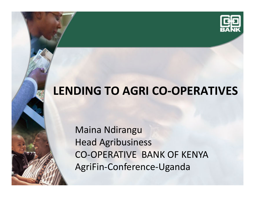

### **LENDING TO AGRI CO-OPERATIVES**

Maina Ndirangu Head AgribusinessCO-OPERATIVE BANK OF KENYA AgriFin-Conference-Uganda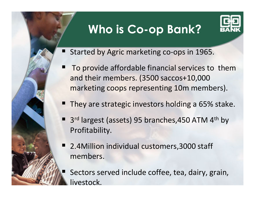#### **Who is Co-op Bank?**



- Started by Agric marketing co-ops in 1965.
	- To provide affordable financial services to them and their members. (3500 saccos+10,000 marketing coops representing 10m members).
- They are strategic investors holding a 65% stake.
- 3<sup>rd</sup> largest (assets) 95 branches,450 ATM 4<sup>th</sup> by Profitability.
- 2.4Million individual customers,3000 staff members.

 Sectors served include coffee, tea, dairy, grain, ivestock.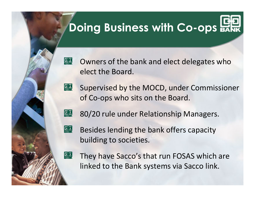# **Doing Business with Co-ops ERR**

願 Owners of the bank and elect delegates who elect the Board.

盟 Supervised by the MOCD, under Commissioner of Co-ops who sits on the Board.

鴟 80/20 rule under Relationship Managers.



Besides lending the bank offers capacity building to societies.

盟

They have Sacco's that run FOSAS which are linked to the Bank systems via Sacco link.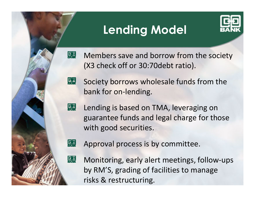#### **Lending Model**



願 Members save and borrow from the society (X3 check off or 30:70debt ratio).

願 Society borrows wholesale funds from the bank for on-lending.

Lending is based on TMA, leveraging on guarantee funds and legal charge for those with good securities.



願

**Eg** 

Approval process is by committee.

Monitoring, early alert meetings, follow-ups by RM'S, grading of facilities to manage risks & restructuring.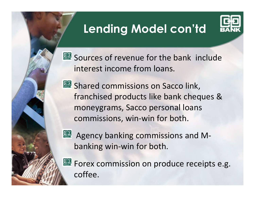## **Lending Model con'td**



|| Sources of revenue for the bank include interest income from loans.

 **...** Shared commissions on Sacco link, franchised products like bank cheques & moneygrams, Sacco personal loans commissions, win-win for both.

Agency banking commissions and Mbanking win-win for both.

**【单 Forex commission on produce receipts e.g.** coffee.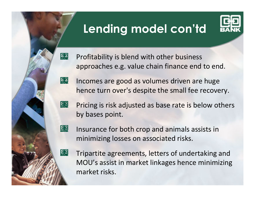## **Lending model con'td**



- 熙 Profitability is blend with other business approaches e.g. value chain finance end to end.
- **原恩** Incomes are good as volumes driven are huge hence turn over's despite the small fee recovery.
- 恩 Pricing is risk adjusted as base rate is below others by bases point.
- 恩 Insurance for both crop and animals assists in minimizing losses on associated risks.

願

Tripartite agreements, letters of undertaking and MOU's assist in market linkages hence minimizing market risks.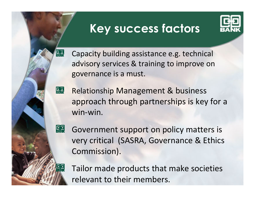#### **Key success factors**



Capacity building assistance e.g. technical advisory services & training to improve on governance is a must.

願

**Ea** Relationship Management & business approach through partnerships is key for a win-win.

恩 Government support on policy matters is very critical (SASRA, Governance & Ethics Commission).

Tailor made products that make societies relevant to their members.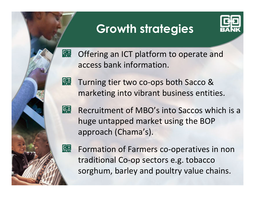#### **Growth strategies**



熙 Offering an ICT platform to operate and access bank information.

熙 Turning tier two co-ops both Sacco & marketing into vibrant business entities.

恩 Recruitment of MBO's into Saccos which is a huge untapped market using the BOP approach (Chama's).

熙

Formation of Farmers co-operatives in non traditional Co-op sectors e.g. tobacco sorghum, barley and poultry value chains.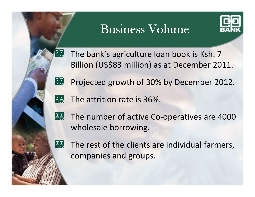#### Business Volume



The bank's agriculture loan book is Ksh. 7 Billion (US\$83 million) as at December 2011.

願 Projected growth of 30% by December 2012.

奥 The attrition rate is 36%.

熙 The number of active Co-operatives are 4000 wholesale borrowing.



**[55]** 

The rest of the clients are individual farmers, companies and groups.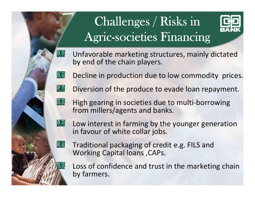# Challenges / Risks in Agric-societies Financing



Unfavorable marketing structures, mainly dictated by end of the chain players.

Decline in production due to low commodity prices.

熙 Diversion of the produce to evade loan repayment.

熙 High gearing in societies due to multi-borrowing from millers/agents and banks.

熙 Low interest in farming by the younger generation in favour of white collar jobs.



願

鳳

Traditional packaging of credit e.g. FILS and Working Capital loans ,CAPs.

Loss of confidence and trust in the marketing chainby farmers.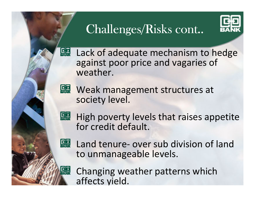# Challenges/Risks cont..



熙 Lack of adequate mechanism to hedge against poor price and vagaries of weather.

**原 Weak management structures at** society level.

嘿 High poverty levels that raises appetite for credit default.



Land tenure- over sub division of land to unmanageable levels.

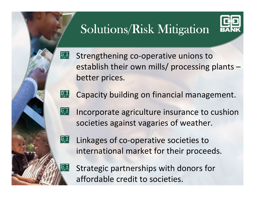# Solutions/Risk Mitigation



願 Strengthening co-operative unions to establish their own mills/ processing plants –better prices.

隐 Capacity building on financial management.

- 願 Incorporate agriculture insurance to cushion societies against vagaries of weather.
- 願

願

Linkages of co-operative societies to international market for their proceeds.

Strategic partnerships with donors for affordable credit to societies.